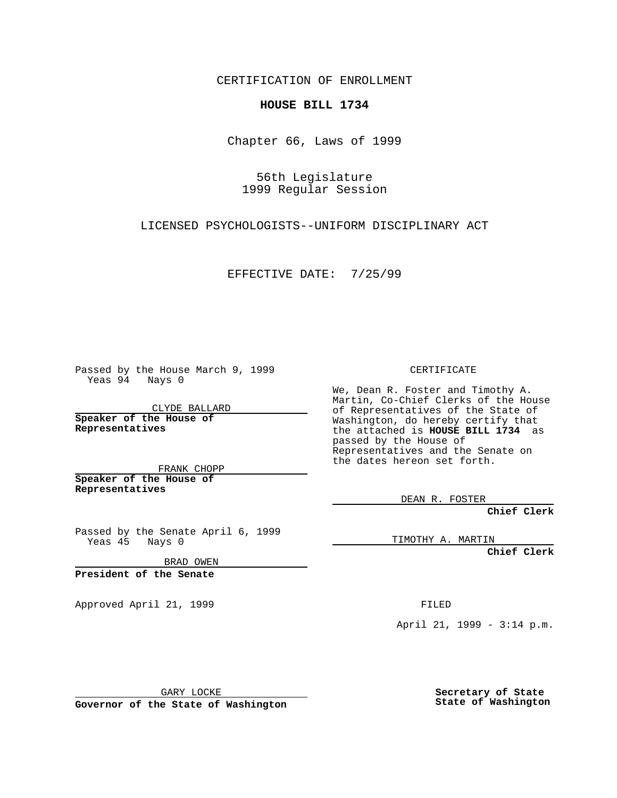CERTIFICATION OF ENROLLMENT

## **HOUSE BILL 1734**

Chapter 66, Laws of 1999

56th Legislature 1999 Regular Session

LICENSED PSYCHOLOGISTS--UNIFORM DISCIPLINARY ACT

EFFECTIVE DATE: 7/25/99

Passed by the House March 9, 1999 Yeas 94 Nays 0

CLYDE BALLARD **Speaker of the House of Representatives**

FRANK CHOPP **Speaker of the House of Representatives**

Passed by the Senate April 6, 1999 Yeas 45 Nays 0

BRAD OWEN

**President of the Senate**

Approved April 21, 1999 FILED

CERTIFICATE

We, Dean R. Foster and Timothy A. Martin, Co-Chief Clerks of the House of Representatives of the State of Washington, do hereby certify that the attached is **HOUSE BILL 1734** as passed by the House of Representatives and the Senate on the dates hereon set forth.

DEAN R. FOSTER

**Chief Clerk**

TIMOTHY A. MARTIN

**Chief Clerk**

April 21, 1999 - 3:14 p.m.

GARY LOCKE

**Governor of the State of Washington**

**Secretary of State State of Washington**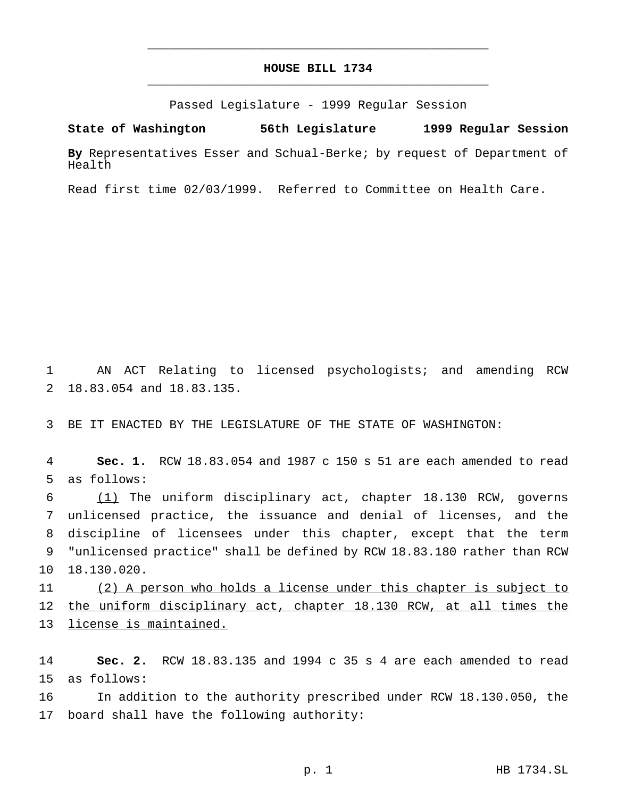## **HOUSE BILL 1734** \_\_\_\_\_\_\_\_\_\_\_\_\_\_\_\_\_\_\_\_\_\_\_\_\_\_\_\_\_\_\_\_\_\_\_\_\_\_\_\_\_\_\_\_\_\_\_

\_\_\_\_\_\_\_\_\_\_\_\_\_\_\_\_\_\_\_\_\_\_\_\_\_\_\_\_\_\_\_\_\_\_\_\_\_\_\_\_\_\_\_\_\_\_\_

Passed Legislature - 1999 Regular Session

**State of Washington 56th Legislature 1999 Regular Session**

**By** Representatives Esser and Schual-Berke; by request of Department of Health

Read first time 02/03/1999. Referred to Committee on Health Care.

 AN ACT Relating to licensed psychologists; and amending RCW 18.83.054 and 18.83.135.

BE IT ENACTED BY THE LEGISLATURE OF THE STATE OF WASHINGTON:

 **Sec. 1.** RCW 18.83.054 and 1987 c 150 s 51 are each amended to read as follows:

 (1) The uniform disciplinary act, chapter 18.130 RCW, governs unlicensed practice, the issuance and denial of licenses, and the discipline of licensees under this chapter, except that the term "unlicensed practice" shall be defined by RCW 18.83.180 rather than RCW 18.130.020.

 (2) A person who holds a license under this chapter is subject to 12 the uniform disciplinary act, chapter 18.130 RCW, at all times the license is maintained.

 **Sec. 2.** RCW 18.83.135 and 1994 c 35 s 4 are each amended to read as follows:

 In addition to the authority prescribed under RCW 18.130.050, the board shall have the following authority: